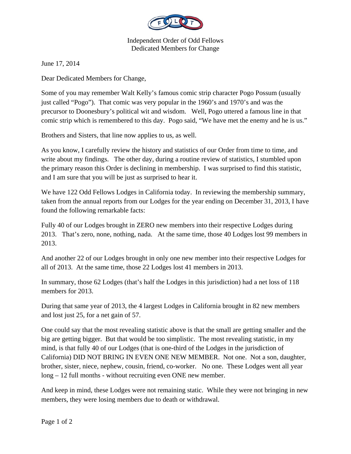

Independent Order of Odd Fellows Dedicated Members for Change

June 17, 2014

Dear Dedicated Members for Change,

Some of you may remember Walt Kelly's famous comic strip character Pogo Possum (usually just called "Pogo"). That comic was very popular in the 1960's and 1970's and was the precursor to Doonesbury's political wit and wisdom. Well, Pogo uttered a famous line in that comic strip which is remembered to this day. Pogo said, "We have met the enemy and he is us."

Brothers and Sisters, that line now applies to us, as well.

As you know, I carefully review the history and statistics of our Order from time to time, and write about my findings. The other day, during a routine review of statistics, I stumbled upon the primary reason this Order is declining in membership. I was surprised to find this statistic, and I am sure that you will be just as surprised to hear it.

We have 122 Odd Fellows Lodges in California today. In reviewing the membership summary, taken from the annual reports from our Lodges for the year ending on December 31, 2013, I have found the following remarkable facts:

Fully 40 of our Lodges brought in ZERO new members into their respective Lodges during 2013. That's zero, none, nothing, nada. At the same time, those 40 Lodges lost 99 members in 2013.

And another 22 of our Lodges brought in only one new member into their respective Lodges for all of 2013. At the same time, those 22 Lodges lost 41 members in 2013.

In summary, those 62 Lodges (that's half the Lodges in this jurisdiction) had a net loss of 118 members for 2013.

During that same year of 2013, the 4 largest Lodges in California brought in 82 new members and lost just 25, for a net gain of 57.

One could say that the most revealing statistic above is that the small are getting smaller and the big are getting bigger. But that would be too simplistic. The most revealing statistic, in my mind, is that fully 40 of our Lodges (that is one-third of the Lodges in the jurisdiction of California) DID NOT BRING IN EVEN ONE NEW MEMBER. Not one. Not a son, daughter, brother, sister, niece, nephew, cousin, friend, co-worker. No one. These Lodges went all year long – 12 full months - without recruiting even ONE new member.

And keep in mind, these Lodges were not remaining static. While they were not bringing in new members, they were losing members due to death or withdrawal.